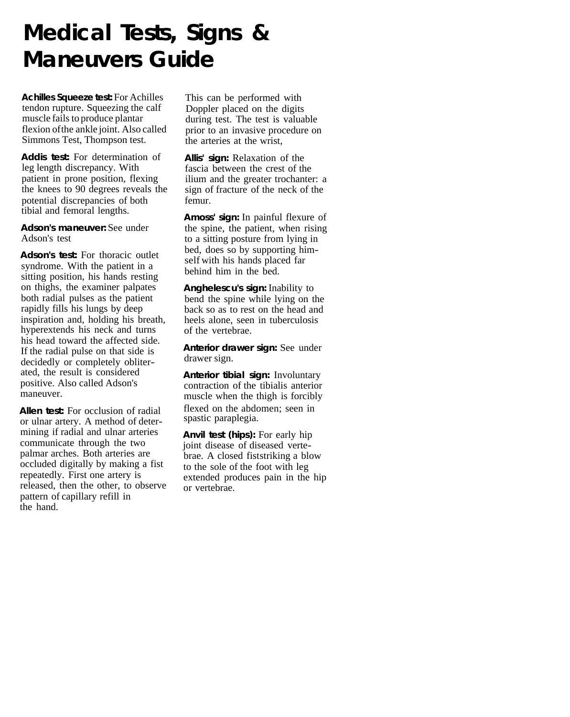## **Medical Tests, Signs & Maneuvers Guide**

**Achilles Squeeze test:** For Achilles tendon rupture. Squeezing the calf muscle fails to produce plantar flexion of the ankle joint. Also called Simmons Test, Thompson test.

**Addis test:** For determination of leg length discrepancy. With patient in prone position, flexing the knees to 90 degrees reveals the potential discrepancies of both femur. tibial and femoral lengths.

## **Adson's maneuver:** See under Adson's test

**Adson's test:** For thoracic outlet syndrome. With the patient in a sitting position, his hands resting on thighs, the examiner palpates both radial pulses as the patient rapidly fills his lungs by deep inspiration and, holding his breath, hyperextends his neck and turns his head toward the affected side. If the radial pulse on that side is decidedly or completely obliterated, the result is considered positive. Also called Adson's maneuver.

**Allen test:** For occlusion of radial or ulnar artery. A method of determining if radial and ulnar arteries communicate through the two palmar arches. Both arteries are occluded digitally by making a fist repeatedly. First one artery is released, then the other, to observe pattern of capillary refill in the hand.

This can be performed with Doppler placed on the digits during test. The test is valuable prior to an invasive procedure on the arteries at the wrist,

**Allis' sign:** Relaxation of the fascia between the crest of the ilium and the greater trochanter: a sign of fracture of the neck of the

**Amoss' sign:** In painful flexure of the spine, the patient, when rising to a sitting posture from lying in bed, does so by supporting himself with his hands placed far behind him in the bed.

**Anghelescu's sign:** Inability to bend the spine while lying on the back so as to rest on the head and heels alone, seen in tuberculosis of the vertebrae.

**Anterior drawer sign:** See under drawer sign.

**Anterior tibial sign:** Involuntary contraction of the tibialis anterior muscle when the thigh is forcibly flexed on the abdomen; seen in spastic paraplegia.

**Anvil test (hips):** For early hip joint disease of diseased vertebrae. A closed fist striking a blow to the sole of the foot with leg extended produces pain in the hip or vertebrae.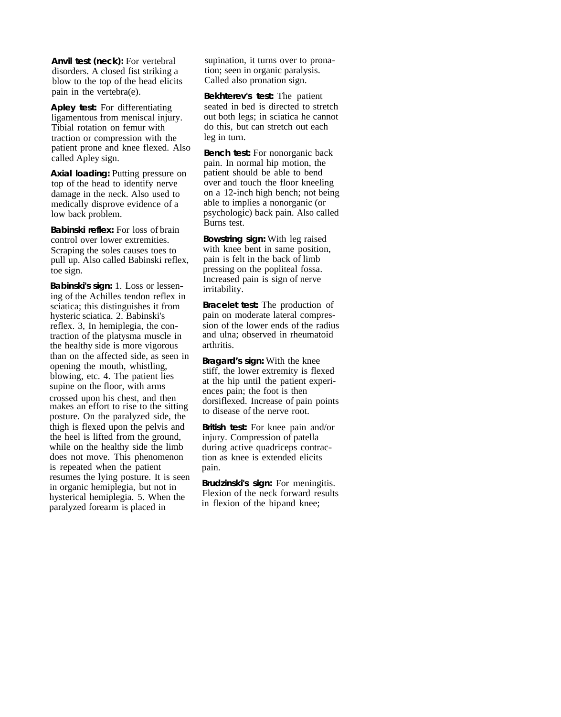**Anvil test (neck):** For vertebral disorders. A closed fist striking a blow to the top of the head elicits pain in the vertebra(e).

**Apley test:** For differentiating ligamentous from meniscal injury. Tibial rotation on femur with traction or compression with the called Apley sign. patient prone and knee flexed. Also **Bench test:** For nonorganic back

**Axial loading: Putting pressure on** top of the head to identify nerve damage in the neck. Also used to medically disprove evidence of a low back problem.

**Babinski reflex:** For loss of brain control over lower extremities. Scraping the soles causes toes to pull up. Also called Babinski reflex, toe sign.

**Babinski's sign:** 1. Loss or lessening of the Achilles tendon reflex in sciatica; this distinguishes it from hysteric sciatica. 2. Babinski's reflex. 3, In hemiplegia, the contraction of the platysma muscle in the healthy side is more vigorous than on the affected side, as seen in opening the mouth, whistling,<br>blowing, etc. 4. The patient lies supine on the floor, with arms

crossed upon his chest, and then makes an effort to rise to the sitting posture. On the paralyzed side, the thigh is flexed upon the pelvis and the heel is lifted from the ground, while on the healthy side the limb does not move. This phenomenon is repeated when the patient resumes the lying posture. It is seen in organic hemiplegia, but not in hysterical hemiplegia. 5. When the paralyzed forearm is placed in

supination, it turns over to pronation; seen in organic paralysis. Called also pronation sign.

**Bekhterev's test:** The patient seated in bed is directed to stretch out both legs; in sciatica he cannot do this, but can stretch out each leg in turn.

pain. In normal hip motion, the patient should be able to bend over and touch the floor kneeling on a 12-inch high bench; not being able to implies a nonorganic (or psychologic) back pain. Also called Burns test.

**Bowstring sign:** With leg raised with knee bent in same position. pain is felt in the back of limb pressing on the popliteal fossa. Increased pain is sign of nerve irritability.

**Bracelet test:** The production of pain on moderate lateral compression of the lower ends of the radius and ulna; observed in rheumatoid arthritis.

**Bragard's sign:** With the knee stiff, the lower extremity is flexed ences pain; the foot is then dorsiflexed. Increase of pain points to disease of the nerve root. at the hip until the patient experi-

**British test:** For knee pain and/or injury. Compression of patella during active quadriceps contraction as knee is extended elicits pain.

**Brudzinski's sign:** For meningitis. Flexion of the neck forward results in flexion of the hip and knee;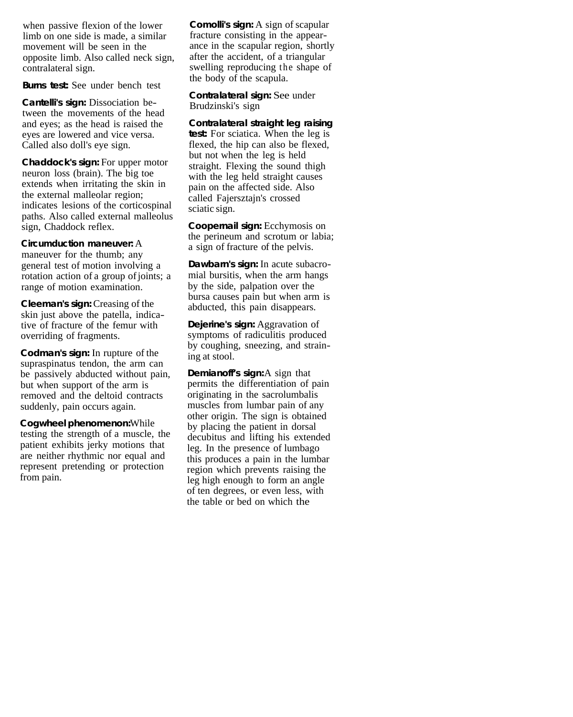when passive flexion of the lower limb on one side is made, a similar movement will be seen in the opposite limb. Also called neck sign, contralateral sign.

**Burns test:** See under bench test

**Cantelli's sign:** Dissociation between the movements of the head and eyes; as the head is raised the eyes are lowered and vice versa. Called also doll's eye sign.

neuron loss (brain). The big toe extends when irritating the skin in the external malleolar region; indicates lesions of the corticospinal paths. Also called external malleolus sign, Chaddock reflex. **Chaddock's sign:** For upper motor straight. Flexing the sound thigh

**Circumduction maneuver:** A maneuver for the thumb; any general test of motion involving a

rotation action of a group of joints; a range of motion examination.

**Cleeman's sign:** Creasing of the skin just above the patella, indicative of fracture of the femur with overriding of fragments.

**Codman's sign:** In rupture of the supraspinatus tendon, the arm can be passively abducted without pain, but when support of the arm is removed and the deltoid contracts suddenly, pain occurs again.

**Cogwheel phenomenon:** While patient exhibits jerky motions that are neither rhythmic nor equal and from pain. testing the strength of a muscle, the decubitus and lifting his extended represent pretending or protection region which prevents raising the

**Comolli's sign:** A sign of scapular fracture consisting in the appearance in the scapular region, shortly after the accident, of a triangular swelling reproducing the shape of the body of the scapula.

**Contralateral sign:** See under Brudzinski's sign

**Contralateral straight leg raising test:** For sciatica. When the leg is flexed, the hip can also be flexed, but not when the leg is held with the leg held straight causes pain on the affected side. Also called Fajersztajn's crossed sciatic sign.

**Coopernail sign:** Ecchymosis on the perineum and scrotum or labia; a sign of fracture of the pelvis.

**Dawbarn's sign:** In acute subacromial bursitis, when the arm hangs by the side, palpation over the bursa causes pain but when arm is abducted, this pain disappears.

**Dejerine's sign:** Aggravation of symptoms of radiculitis produced by coughing, sneezing, and straining at stool.

**Demianoff's sign:** A sign that permits the differentiation of pain originating in the sacrolumbalis muscles from lumbar pain of any other origin. The sign is obtained by placing the patient in dorsal leg. In the presence of lumbago this produces a pain in the lumbar leg high enough to form an angle of ten degrees, or even less, with the table or bed on which the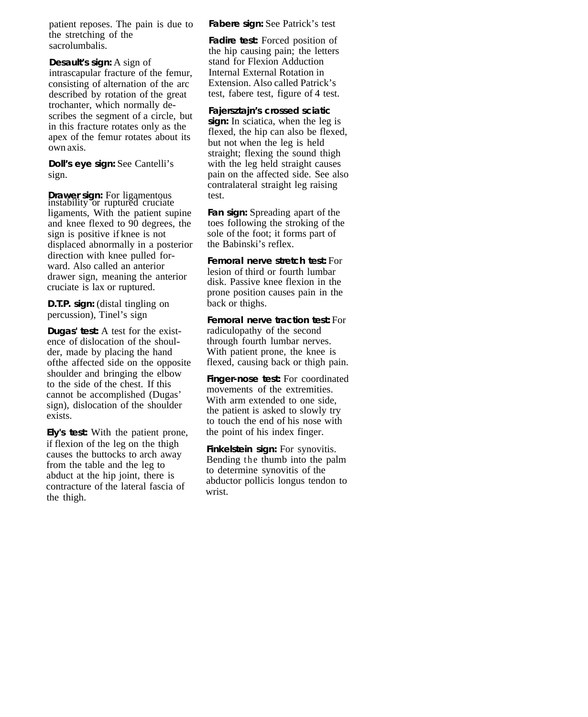patient reposes. The pain is due to the stretching of the sacrolumbalis.

**Desault's sign:** A sign of intrascapular fracture of the femur, consisting of alternation of the arc described by rotation of the great trochanter, which normally describes the segment of a circle, but in this fracture rotates only as the apex of the femur rotates about its own axis.

**Doll's eye sign:** See Cantelli's sign.

**Drawer sign:** For ligamentous test.<br>instability or ruptured cruciate ligaments, With the patient supine and knee flexed to 90 degrees, the sign is positive if knee is not displaced abnormally in a posterior direction with knee pulled forward. Also called an anterior drawer sign, meaning the anterior cruciate is lax or ruptured.

**D.T.P. sign:** (distal tingling on percussion), Tinel's sign

**Dugas' test:** A test for the existence of dislocation of the shoulder, made by placing the hand of the affected side on the opposite shoulder and bringing the elbow to the side of the chest. If this cannot be accomplished (Dugas' sign), dislocation of the shoulder exists.

**Ely's test:** With the patient prone, causes the buttocks to arch away from the table and the leg to abduct at the hip joint, there is contracture of the lateral fascia of the thigh. if flexion of the leg on the thigh **Finkelstein sign:** For synovitis.

**Fabere sign:** See Patrick's test

**Fadire test:** Forced position of the hip causing pain; the letters stand for Flexion Adduction Internal External Rotation in Extension. Also called Patrick's test, fabere test, figure of 4 test.

**Fajersztajn's crossed sciatic**  sign: In sciatica, when the leg is

flexed, the hip can also be flexed, but not when the leg is held straight; flexing the sound thigh with the leg held straight causes pain on the affected side. See also contralateral straight leg raising

**Fan sign:** Spreading apart of the toes following the stroking of the sole of the foot; it forms part of the Babinski's reflex.

**Femoral nerve stretch test:** For lesion of third or fourth lumbar disk. Passive knee flexion in the prone position causes pain in the back or thighs.

**Femoral nerve traction test:** For radiculopathy of the second through fourth lumbar nerves. With patient prone, the knee is flexed, causing back or thigh pain.

**Finger-nose test:** For coordinated movements of the extremities. With arm extended to one side, the patient is asked to slowly try to touch the end of his nose with the point of his index finger.

Bending the thumb into the palm to determine synovitis of the abductor pollicis longus tendon to wrist.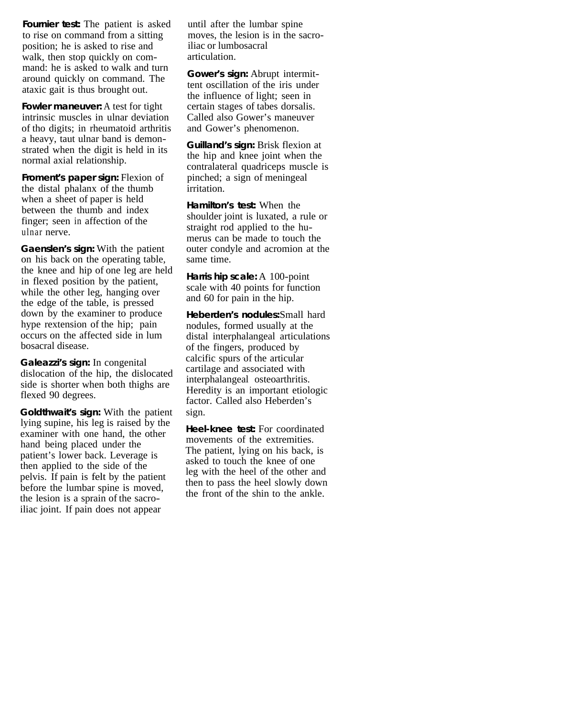**Fournier test:** The patient is asked to rise on command from a sitting position; he is asked to rise and walk, then stop quickly on command: he is asked to walk and turn around quickly on command. The ataxic gait is thus brought out.

**Fowler maneuver:** A test for tight intrinsic muscles in ulnar deviation of tho digits; in rheumatoid arthritis a heavy, taut ulnar band is demonstrated when the digit is held in its normal axial relationship.

**Froment's paper sign:** Flexion of the distal phalanx of the thumb when a sheet of paper is held between the thumb and index finger; seen in affection of the ulnar nerve.

**Gaenslen's sign:** With the patient on his back on the operating table, the knee and hip of one leg are held in flexed position by the patient, while the other leg, hanging over the edge of the table, is pressed down by the examiner to produce hype rextension of the hip; pain occurs on the affected side in lum bosacral disease.

**Galeazzi's sign:** In congenital dislocation of the hip, the dislocated side is shorter when both thighs are flexed 90 degrees.

**Goldthwait's sign:** With the patient lying supine, his leg is raised by the examiner with one hand, the other hand being placed under the patient's lower back. Leverage is then applied to the side of the pelvis. If pain is felt by the patient before the lumbar spine is moved, the lesion is a sprain of the sacroiliac joint. If pain does not appear

until after the lumbar spine moves, the lesion is in the sacroiliac or lumbosacral articulation.

**Gower's sign:** Abrupt intermittent oscillation of the iris under the influence of light; seen in certain stages of tabes dorsalis. Called also Gower's maneuver and Gower's phenomenon.

**Guilland's sign:** Brisk flexion at the hip and knee joint when the contralateral quadriceps muscle is pinched; a sign of meningeal irritation.

**Hamilton's test:** When the shoulder joint is luxated, a rule or straight rod applied to the humerus can be made to touch the outer condyle and acromion at the same time.

**Harris hip scale:** A 100-point scale with 40 points for function and 60 for pain in the hip.

**Heberden's nodules:** Small hard nodules, formed usually at the distal interphalangeal articulations of the fingers, produced by calcific spurs of the articular cartilage and associated with interphalangeal osteoarthritis. Heredity is an important etiologic factor. Called also Heberden's sign.

**Heel-knee test:** For coordinated movements of the extremities. The patient, lying on his back, is asked to touch the knee of one leg with the heel of the other and then to pass the heel slowly down the front of the shin to the ankle.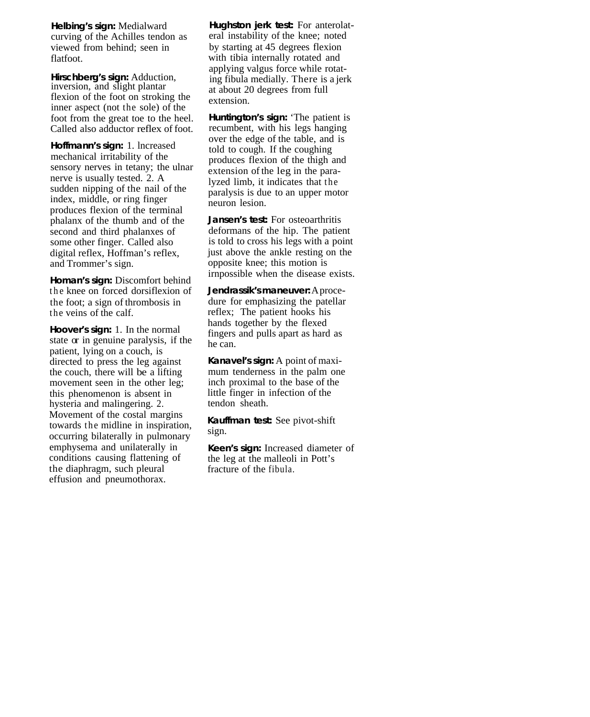**Helbing's sign:** Medialward curving of the Achilles tendon as viewed from behind; seen in flatfoot.

**Hirschberg's sign:** Adduction, inversion, and slight plantar flexion of the foot on stroking the inner aspect (not the sole) of the foot from the great toe to the heel. Called also adductor reflex of foot.

**Hoffmann's sign:** 1. lncreased mechanical irritability of the sensory nerves in tetany; the ulnar nerve is usually tested. 2. A sudden nipping of the nail of the index, middle, or ring finger produces flexion of the terminal phalanx of the thumb and of the second and third phalanxes of some other finger. Called also digital reflex, Hoffman's reflex, and Trommer's sign.

**Homan's sign:** Discomfort behind the knee on forced dorsiflexion of the foot; a sign of thrombosis in the veins of the calf.

**Hoover's sign:** 1. In the normal state or in genuine paralysis, if the patient, lying on a couch, is directed to press the leg against the couch, there will be a lifting movement seen in the other leg; this phenomenon is absent in hysteria and malingering. 2. Movement of the costal margins towards the midline in inspiration, occurring bilaterally in pulmonary emphysema and unilaterally in conditions causing flattening of the diaphragm, such pleural effusion and pneumothorax.

**Hughston jerk test:** For anterolateral instability of the knee; noted by starting at 45 degrees flexion with tibia internally rotated and applying valgus force while rotating fibula medially. There is a jerk at about 20 degrees from full extension.

**Huntington's sign:** 'The patient is recumbent, with his legs hanging over the edge of the table, and is told to cough. If the coughing produces flexion of the thigh and extension of the leg in the paralyzed limb, it indicates that the paralysis is due to an upper motor neuron lesion.

**Jansen's test:** For osteoarthritis deformans of the hip. The patient is told to cross his legs with a point just above the ankle resting on the opposite knee; this motion is irnpossible when the disease exists.

**Jendrassik's maneuver:** A procedure for emphasizing the patellar reflex; The patient hooks his hands together by the flexed fingers and pulls apart as hard as he can.

**Kanavel's sign:** A point of maximum tenderness in the palm one inch proximal to the base of the little finger in infection of the tendon sheath.

**Kauffman test:** See pivot-shift sign.

**Keen's sign:** Increased diameter of the leg at the malleoli in Pott's fracture of the fibula.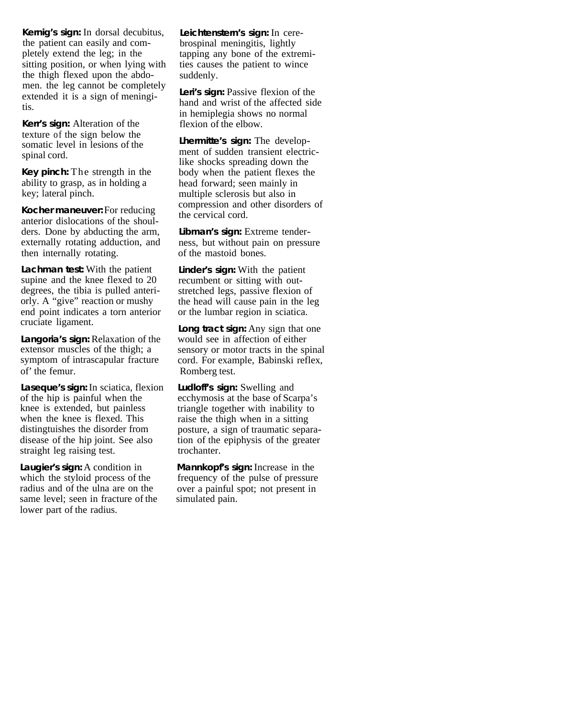**Kernig's sign:** In dorsal decubitus, the patient can easily and completely extend the leg; in the sitting position, or when lying with the thigh flexed upon the abdomen. the leg cannot be completely extended it is a sign of meningitis.

**Kerr's sign:** Alteration of the texture of the sign below the somatic level in lesions of the spinal cord.

**Key pinch:** The strength in the ability to grasp, as in holding a key; lateral pinch.

**Kocher maneuver:** For reducing anterior dislocations of the shoulders. Done by abducting the arm, externally rotating adduction, and then internally rotating.

**Lachman test:** With the patient supine and the knee flexed to 20 degrees, the tibia is pulled anteriorly. A "give" reaction or mushy end point indicates a torn anterior cruciate ligament.

**Langoria's sign:** Relaxation of the extensor muscles of the thigh; a symptom of intrascapular fracture of' the femur. Romberg test.

**Laseque's sign:** In sciatica, flexion of the hip is painful when the knee is extended, but painless when the knee is flexed. This distingtuishes the disorder from disease of the hip joint. See also straight leg raising test. trochanter.

Laugier's sign: A condition in which the styloid process of the radius and of the ulna are on the same level; seen in fracture of the simulated pain. lower part of the radius.

**Leichtenstern's sign:** In cerebrospinal meningitis, lightly tapping any bone of the extremities causes the patient to wince suddenly.

Leri's sign: Passive flexion of the hand and wrist of the affected side in hemiplegia shows no normal flexion of the elbow.

**Lhermitte's sign:** The development of sudden transient electriclike shocks spreading down the body when the patient flexes the head forward; seen mainly in multiple sclerosis but also in compression and other disorders of the cervical cord.

**Libman's sign:** Extreme tenderness, but without pain on pressure of the mastoid bones.

**Linder's sign:** With the patient recumbent or sitting with outstretched legs, passive flexion of the head will cause pain in the leg or the lumbar region in sciatica.

**Long tract sign:** Any sign that one would see in affection of either sensory or motor tracts in the spinal cord. For example, Babinski reflex,

**Ludloff's sign:** Swelling and ecchymosis at the base of Scarpa's triangle together with inability to raise the thigh when in a sitting posture, a sign of traumatic separation of the epiphysis of the greater

**Mannkopf's sign:** Increase in the frequency of the pulse of pressure over a painful spot; not present in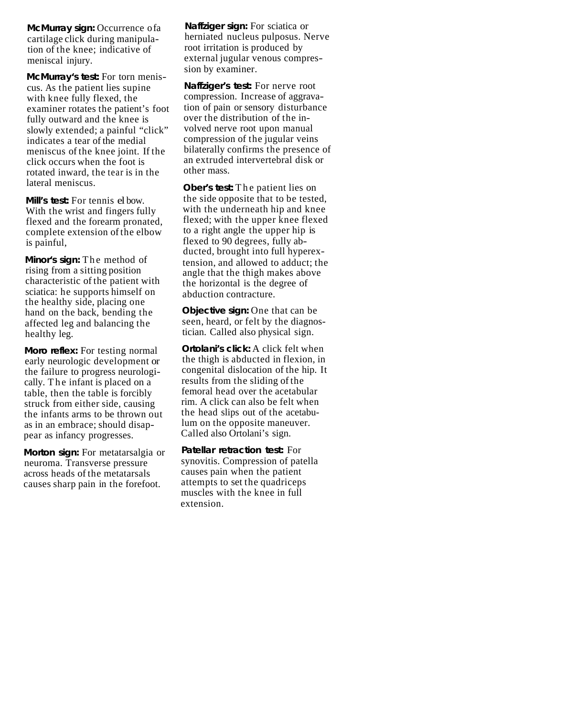**McMurray sign: Occurrence of a** cartilage click during manipulation of the knee; indicative of meniscal injury.

**McMurray's test:** For torn meniscus. As the patient lies supine with knee fully flexed, the examiner rotates the patient's foot fully outward and the knee is slowly extended; a painful "click" indicates a tear of the medial meniscus of the knee joint. If the click occurs when the foot is rotated inward, the tear is in the lateral meniscus.

**Mill's test:** For tennis el bow. With the wrist and fingers fully flexed and the forearm pronated, complete extension of the elbow is painful,

**Minor's sign:** The method of rising from a sitting position characteristic of the patient with sciatica: he supports himself on the healthy side, placing one hand on the back, bending the affected leg and balancing the healthy leg.

**Moro reflex:** For testing normal early neurologic development or the failure to progress neurologically. The infant is placed on a table, then the table is forcibly struck from either side, causing the infants arms to be thrown out as in an embrace; should disappear as infancy progresses.

**Morton sign:** For metatarsalgia or neuroma. Transverse pressure across heads of the metatarsals causes sharp pain in the forefoot.

**Naffziger sign:** For sciatica or herniated nucleus pulposus. Nerve root irritation is produced by external jugular venous compression by examiner.

**Naffziger's test:** For nerve root compression. Increase of aggravation of pain or sensory disturbance over the distribution of the involved nerve root upon manual compression of the jugular veins bilaterally confirms the presence of an extruded intervertebral disk or other mass.

**Ober's test:** The patient lies on the side opposite that to be tested, with the underneath hip and knee flexed; with the upper knee flexed to a right angle the upper hip is flexed to 90 degrees, fully abducted, brought into full hyperextension, and allowed to adduct; the angle that the thigh makes above the horizontal is the degree of abduction contracture.

**Objective sign:** One that can be seen, heard, or felt by the diagnostician. Called also physical sign.

**Ortolani's click:** A click felt when the thigh is abducted in flexion, in congenital dislocation of the hip. It results from the sliding of the femoral head over the acetabular rim. A click can also be felt when the head slips out of the acetabulum on the opposite maneuver. Called also Ortolani's sign.

**Patellar retraction test:** For synovitis. Compression of patella causes pain when the patient attempts to set the quadriceps muscles with the knee in full extension.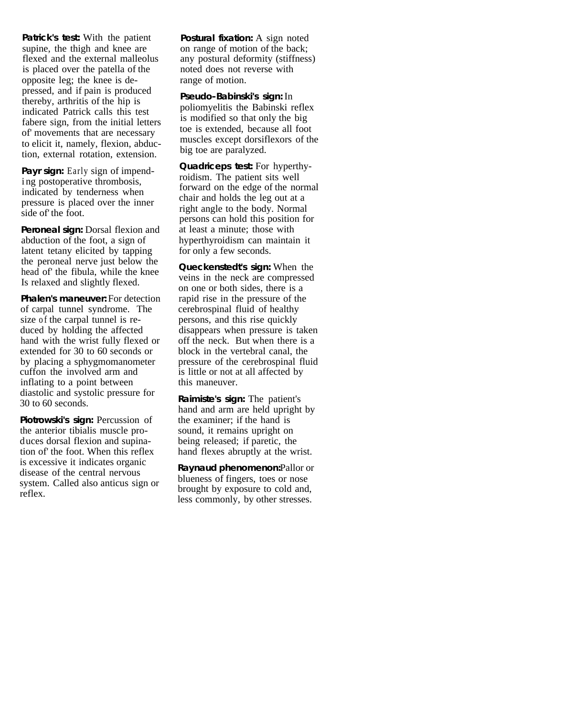**Patrick's test:** With the patient supine, the thigh and knee are flexed and the external malleolus is placed over the patella of the opposite leg; the knee is depressed, and if pain is produced thereby, arthritis of the hip is indicated Patrick calls this test fabere sign, from the initial letters of' movements that are necessary to elicit it, namely, flexion, abduction, external rotation, extension.

Payr sign: Early sign of impendi ng postoperative thrombosis, indicated by tenderness when pressure is placed over the inner side of' the foot.

**Peroneal sign:** Dorsal flexion and abduction of the foot, a sign of latent tetany elicited by tapping the peroneal nerve just below the head of' the fibula, while the knee Is relaxed and slightly flexed.

**Phalen's maneuver:** For detection of carpal tunnel syndrome. The size of the carpal tunnel is reduced by holding the affected hand with the wrist fully flexed or extended for 30 to 60 seconds or by placing a sphygmomanometer cuffon the involved arm and inflating to a point between diastolic and systolic pressure for 30 to 60 seconds.

Piotrowski's sign: Percussion of the anterior tibialis muscle prod uces dorsal flexion and supination of' the foot. When this reflex is excessive it indicates organic disease of the central nervous system. Called also anticus sign or reflex.

**Postural fixation:** A sign noted on range of motion of the back; any postural deformity (stiffness) noted does not reverse with range of motion.

**Pseudo-Babinski's sign:** In poliomyelitis the Babinski reflex is modified so that only the big toe is extended, because all foot muscles except dorsiflexors of the big toe are paralyzed.

**Quadriceps test:** For hyperthyroidism. The patient sits well forward on the edge of the normal chair and holds the leg out at a right angle to the body. Normal persons can hold this position for at least a minute; those with hyperthyroidism can maintain it for only a few seconds.

**Queckenstedt's sign:** When the veins in the neck are compressed on one or both sides, there is a rapid rise in the pressure of the cerebrospinal fluid of healthy persons, and this rise quickly disappears when pressure is taken off the neck. But when there is a block in the vertebral canal, the pressure of the cerebrospinal fluid is little or not at all affected by this maneuver.

**Raimiste's sign:** The patient's hand and arm are held upright by the examiner; if the hand is sound, it remains upright on being released; if paretic, the hand flexes abruptly at the wrist.

**Raynaud phenomenon: Pallor or** blueness of fingers, toes or nose brought by exposure to cold and, less commonly, by other stresses.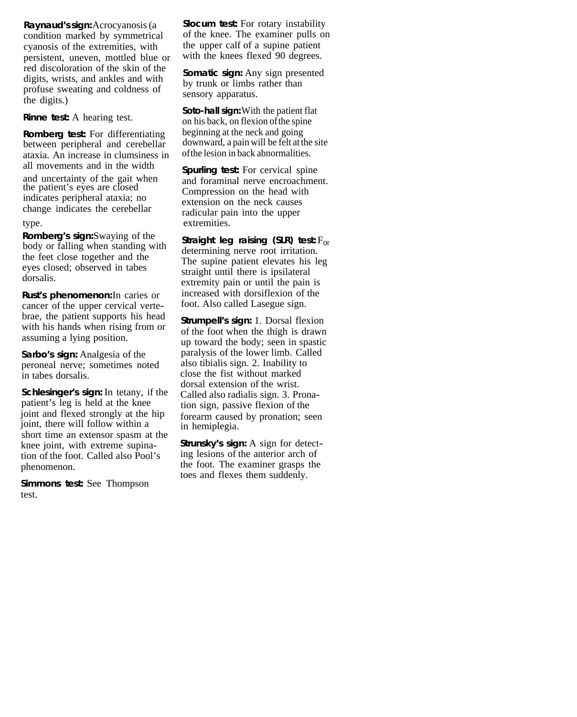**Raynaud's sign:** Acrocyanosis (a condition marked by symmetrical cyanosis of the extremities, with persistent, uneven, mottled blue or red discoloration of the skin of the digits, wrists, and ankles and with profuse sweating and coldness of the digits.)

**Rinne test:** A hearing test.

**Romberg test:** For differentiating between peripheral and cerebellar ataxia. An increase in clumsiness in and uncertainty of the gait when the patient's eyes are closed indicates peripheral ataxia; no change indicates the cerebellar

**Romberg's sign:** Swaying of the **Straight leg raising (SLR) test:** F<sub>or</sub> body or falling when standing with determining nerve root irritation. the feet close together and the eyes closed; observed in tabes dorsalis.

**Rust's phenomenon:** In caries or cancer of the upper cervical vertewith his hands when rising from or assuming a lying position. brae, the patient supports his head **Strumpell's sign:** 1. Dorsal flexion

**Sarbo's sign:** Analgesia of the peroneal nerve; sometimes noted in tabes dorsalis.

**Schlesinger's sign:** In tetany, if the patient's leg is held at the knee joint and flexed strongly at the hip joint, there will follow within a short time an extensor spasm at the knee joint, with extreme supination of the foot. Called also Pool's phenomenon.

**Simmons test:** See Thompson test.

**Slocum test:** For rotary instability of the knee. The examiner pulls on the upper calf of a supine patient with the knees flexed 90 degrees.

**Somatic sign:** Any sign presented by trunk or limbs rather than sensory apparatus.

**Soto-hall sign:** With the patient flat on his back, on flexion of the spine beginning at the neck and going downward, a pain will be felt at the site of the lesion in back abnormalities.

type. extremities. **Spurling test:** For cervical spine and foraminal nerve encroachment. Compression on the head with extension on the neck causes radicular pain into the upper

> The supine patient elevates his leg straight until there is ipsilateral extremity pain or until the pain is increased with dorsiflexion of the foot. Also called Lasegue sign.

> of the foot when the thigh is drawn up toward the body; seen in spastic paralysis of the lower limb. Called also tibialis sign. 2. Inability to close the fist without marked dorsal extension of the wrist. Called also radialis sign. 3. Pronation sign, passive flexion of the forearm caused by pronation; seen in hemiplegia.

**Strunsky's sign:** A sign for detecting lesions of the anterior arch of the foot. The examiner grasps the toes and flexes them suddenly.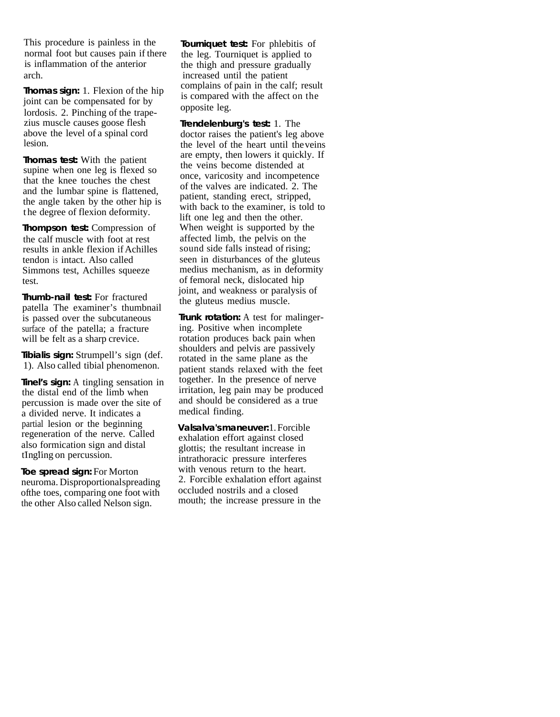This procedure is painless in the normal foot but causes pain if there is inflammation of the anterior arch. increased until the patient

joint can be compensated for by lordosis. 2. Pinching of the trapezius muscle causes goose flesh above the level of a spinal cord lesion. **Thomas sign:** 1. Flexion of the hip is compared with the affect on the issue is compared with the affect on the

**Thomas test:** With the patient supine when one leg is flexed so that the knee touches the chest and the lumbar spine is flattened. the angle taken by the other hip is t he degree of flexion deformity.

**Thompson test:** Compression of the calf muscle with foot at rest results in ankle flexion if Achilles tendon is intact. Also called Simmons test, Achilles squeeze test.

**Thumb-nail test:** For fractured patella The examiner's thumbnail is passed over the subcutaneous surface of the patella; a fracture will be felt as a sharp crevice.

1). Also called tibial phenomenon. **Tibialis sign:** Strumpell's sign (def.

**Tinel's sign:** A tingling sensation in the distal end of the limb when percussion is made over the site of a divided nerve. It indicates a partial lesion or the beginning regeneration of the nerve. Called also formication sign and distal tIngling on percussion.

**Toe spread sign:** For Morton neuroma. Disproportional spreading of the toes, comparing one foot with the other Also called Nelson sign.

**Tourniquet test:** For phlebitis of the leg. Tourniquet is applied to the thigh and pressure gradually complains of pain in the calf; result opposite leg.

**Trendelenburg's test:** 1. The doctor raises the patient's leg above the level of the heart until the veins are empty, then lowers it quickly. If the veins become distended at once, varicosity and incompetence of the valves are indicated. 2. The patient, standing erect, stripped, with back to the examiner, is told to lift one leg and then the other. When weight is supported by the affected limb, the pelvis on the sound side falls instead of rising; seen in disturbances of the gluteus medius mechanism, as in deformity of femoral neck, dislocated hip joint, and weakness or paralysis of the gluteus medius muscle.

**Trunk rotation:** A test for malingering. Positive when incomplete rotation produces back pain when shoulders and pelvis are passively<br>rotated in the same plane as the patient stands relaxed with the feet together. In the presence of nerve irritation, leg pain may be produced and should be considered as a true medical finding.

**Valsalva's maneuver:** 1. Forcible exhalation effort against closed glottis; the resultant increase in intrathoracic pressure interferes with venous return to the heart. 2. Forcible exhalation effort against occluded nostrils and a closed mouth; the increase pressure in the